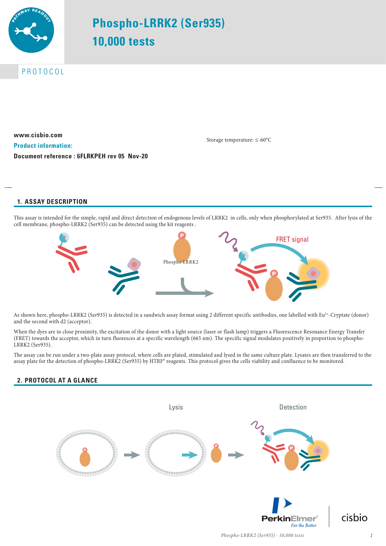

# **Phospho-LRRK2 (Ser935) 10,000 tests**

PROTOCOL

**www.cisbio.com Product information: Document reference : 6FLRKPEH rev 05 Nov-20**

Storage temperature: ≤-60°C

# **1. ASSAY DESCRIPTION**

This assay is intended for the simple, rapid and direct detection of endogenous levels of LRRK2 in cells, only when phosphorylated at Ser935. After lysis of the cell membrane, phospho-LRRK2 (Ser935) can be detected using the kit reagents .



As shown here, phospho-LRRK2 (Ser935) is detected in a sandwich assay format using 2 different specific antibodies, one labelled with Eu<sup>3+</sup>-Cryptate (donor) and the second with d2 (acceptor).

When the dyes are in close proximity, the excitation of the donor with a light source (laser or flash lamp) triggers a Fluorescence Resonance Energy Transfer (FRET) towards the acceptor, which in turn fluoresces at a specific wavelength (665 nm). The specific signal modulates positively in proportion to phospho-LRRK2 (Ser935).

The assay can be run under a two-plate assay protocol, where cells are plated, stimulated and lysed in the same culture plate. Lysates are then transferred to the assay plate for the detection of phospho-LRRK2 (Ser935) by HTRF® reagents. This protocol gives the cells viability and confluence to be monitored.

# **2. PROTOCOL AT A GLANCE**

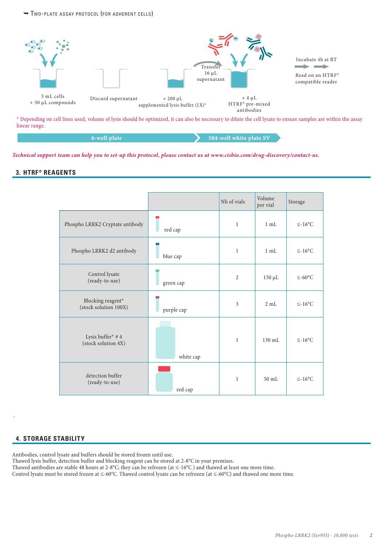→ Two-plate assay protocol (FOR ADHERENT CELLS)



\* Depending on cell lines used, volume of lysis should be optimized, it can also be necessary to dilute the cell lysate to ensure samples are within the assay linear range.

**6-well plate 384-well white plate SV**

*Technical support team can help you to set-up this protocol, please contact us at www.cisbio.com/drug-discovery/contact-us.*

## **3. HTRF® REAGENTS**

|                                            |            | Nb of vials    | Volume<br>per vial | Storage      |
|--------------------------------------------|------------|----------------|--------------------|--------------|
| Phospho LRRK2 Cryptate antibody            | red cap    | $\mathbf{1}$   | 1 mL               | $\leq$ -16°C |
| Phospho LRRK2 d2 antibody                  | blue cap   | $\mathbf{1}$   | $1$ mL             | $\leq$ -16°C |
| Control lysate<br>(ready-to-use)           | green cap  | $\overline{2}$ | $150 \mu L$        | $≤-60$ °C    |
| Blocking reagent*<br>(stock solution 100X) | purple cap | 3              | $2 \text{ mL}$     | $\leq$ -16°C |
| Lysis buffer* #4<br>(stock solution 4X)    | white cap  | $\mathbf{1}$   | 130 mL             | $\leq$ -16°C |
| detection buffer<br>(ready-to-use)         | red cap    | 1              | $50$ mL            | $\leq$ -16°C |

## **4. STORAGE STABILITY**

.

Antibodies, control lysate and buffers should be stored frozen until use.

Thawed lysis buffer, detection buffer and blocking reagent can be stored at 2-8°C in your premises.

Thawed antibodies are stable 48 hours at 2-8°C; they can be refrozen (at  $\leq$ -16°C) and thawed at least one more time.

Control lysate must be stored frozen at ≤-60°C. Thawed control lysate can be refrozen (at ≤-60°C) and thawed one more time.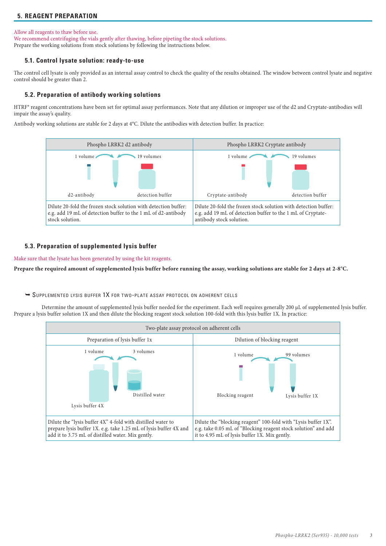# **5. REAGENT PREPARATION**

#### Allow all reagents to thaw before use.

We recommend centrifuging the vials gently after thawing, before pipeting the stock solutions. Prepare the working solutions from stock solutions by following the instructions below.

#### **5.1. Control lysate solution: ready-to-use**

The control cell lysate is only provided as an internal assay control to check the quality of the results obtained. The window between control lysate and negative control should be greater than 2.

#### **5.2. Preparation of antibody working solutions**

HTRF® reagent concentrations have been set for optimal assay performances. Note that any dilution or improper use of the d2 and Cryptate-antibodies will impair the assay's quality.

Antibody working solutions are stable for 2 days at 4°C. Dilute the antibodies with detection buffer. In practice:



#### **5.3. Preparation of supplemented lysis buffer**

Make sure that the lysate has been generated by using the kit reagents.

**Prepare the required amount of supplemented lysis buffer before running the assay, working solutions are stable for 2 days at 2-8°C.**

→ SUPPLEMENTED LYSIS BUFFER 1X FOR TWO-PLATE ASSAY PROTOCOL ON ADHERENT CELLS

Determine the amount of supplemented lysis buffer needed for the experiment. Each well requires generally 200 µL of supplemented lysis buffer. Prepare a lysis buffer solution 1X and then dilute the blocking reagent stock solution 100-fold with this lysis buffer 1X. In practice:

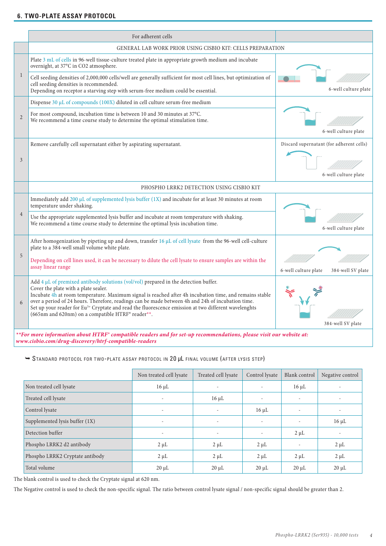# **6. TWO-PLATE ASSAY PROTOCOL**

|                | For adherent cells                                                                                                                                                                                                                                                                                                                                                                                                                                                                                                        |                                                                  |  |
|----------------|---------------------------------------------------------------------------------------------------------------------------------------------------------------------------------------------------------------------------------------------------------------------------------------------------------------------------------------------------------------------------------------------------------------------------------------------------------------------------------------------------------------------------|------------------------------------------------------------------|--|
|                | GENERAL LAB WORK PRIOR USING CISBIO KIT: CELLS PREPARATION                                                                                                                                                                                                                                                                                                                                                                                                                                                                |                                                                  |  |
| $\mathbf{1}$   | Plate 3 mL of cells in 96-well tissue-culture treated plate in appropriate growth medium and incubate<br>overnight, at 37°C in CO2 atmosphere.                                                                                                                                                                                                                                                                                                                                                                            |                                                                  |  |
|                | Cell seeding densities of 2,000,000 cells/well are generally sufficient for most cell lines, but optimization of<br>cell seeding densities is recommended.<br>Depending on receptor a starving step with serum-free medium could be essential.                                                                                                                                                                                                                                                                            | 6-well culture plate                                             |  |
|                | Dispense 30 µL of compounds (100X) diluted in cell culture serum-free medium                                                                                                                                                                                                                                                                                                                                                                                                                                              |                                                                  |  |
| $\overline{2}$ | For most compound, incubation time is between 10 and 30 minutes at 37°C.<br>We recommend a time course study to determine the optimal stimulation time.                                                                                                                                                                                                                                                                                                                                                                   | 6-well culture plate                                             |  |
| 3              | Remove carefully cell supernatant either by aspirating supernatant.                                                                                                                                                                                                                                                                                                                                                                                                                                                       | Discard supernatant (for adherent cells)<br>6-well culture plate |  |
|                | PHOSPHO LRRK2 DETECTION USING CISBIO KIT                                                                                                                                                                                                                                                                                                                                                                                                                                                                                  |                                                                  |  |
|                | Immediately add 200 µL of supplemented lysis buffer (1X) and incubate for at least 30 minutes at room<br>temperature under shaking.                                                                                                                                                                                                                                                                                                                                                                                       |                                                                  |  |
| $\overline{4}$ | Use the appropriate supplemented lysis buffer and incubate at room temperature with shaking.<br>We recommend a time course study to determine the optimal lysis incubation time.                                                                                                                                                                                                                                                                                                                                          | 6-well culture plate                                             |  |
|                | After homogenization by pipeting up and down, transfer 16 $\mu$ L of cell lysate from the 96-well cell-culture<br>plate to a 384-well small volume white plate.                                                                                                                                                                                                                                                                                                                                                           |                                                                  |  |
| 5              | Depending on cell lines used, it can be necessary to dilute the cell lysate to ensure samples are within the<br>assay linear range                                                                                                                                                                                                                                                                                                                                                                                        | 6-well culture plate<br>384-well SV plate                        |  |
| 6              | Add $4 \mu$ L of premixed antibody solutions (vol/vol) prepared in the detection buffer.<br>Cover the plate with a plate sealer.<br>Incubate 4h at room temperature. Maximum signal is reached after 4h incubation time, and remains stable<br>over a period of 24 hours. Therefore, readings can be made between 4h and 24h of incubation time.<br>Set up your reader for Eu <sup>3+</sup> Cryptate and read the fluorescence emission at two different wavelenghts<br>(665nm and 620nm) on a compatible HTRF® reader**. | 384-well SV plate                                                |  |
|                | ** For more information about HTRF° compatible readers and for set-up recommendations, please visit our website at:                                                                                                                                                                                                                                                                                                                                                                                                       |                                                                  |  |

*www.cisbio.com/drug-discovery/htrf-compatible-readers*

# $\rightarrow$  STANDARD PROTOCOL FOR TWO-PLATE ASSAY PROTOCOL IN 20 µL FINAL VOLUME (AFTER LYSIS STEP)

|                                 | Non treated cell lysate | Treated cell lysate      | Control lysate           | Blank control            | Negative control |
|---------------------------------|-------------------------|--------------------------|--------------------------|--------------------------|------------------|
| Non treated cell lysate         | $16 \mu L$              | ٠                        | $\overline{\phantom{a}}$ | $16 \mu L$               |                  |
| Treated cell lysate             |                         | $16 \mu L$               | $\overline{\phantom{a}}$ | $\overline{\phantom{a}}$ |                  |
| Control lysate                  |                         | ٠                        | $16 \mu L$               | $\overline{\phantom{a}}$ |                  |
| Supplemented lysis buffer (1X)  |                         | $\overline{\phantom{a}}$ | $\overline{\phantom{a}}$ |                          | $16 \mu L$       |
| Detection buffer                |                         |                          | $\overline{\phantom{a}}$ | $2 \mu L$                |                  |
| Phospho LRRK2 d2 antibody       | $2 \mu L$               | $2 \mu L$                | $2 \mu L$                |                          | $2 \mu L$        |
| Phospho LRRK2 Cryptate antibody | $2 \mu L$               | $2 \mu L$                | $2 \mu L$                | $2 \mu L$                | $2 \mu L$        |
| Total volume                    | $20 \mu L$              | $20 \mu L$               | $20 \mu L$               | $20 \mu L$               | $20 \mu L$       |

The blank control is used to check the Cryptate signal at 620 nm.

The Negative control is used to check the non-specific signal. The ratio between control lysate signal / non-specific signal should be greater than 2.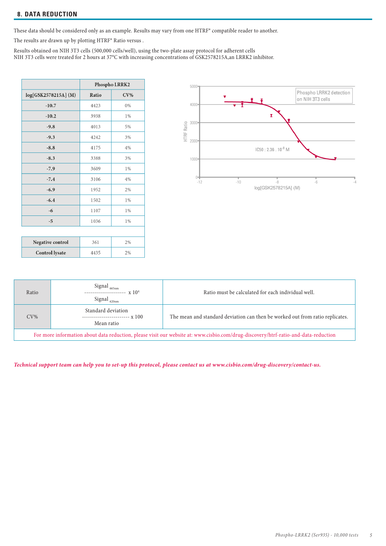These data should be considered only as an example. Results may vary from one HTRF® compatible reader to another.

The results are drawn up by plotting HTRF® Ratio versus .

Results obtained on NIH 3T3 cells (500,000 cells/well), using the two-plate assay protocol for adherent cells NIH 3T3 cells were treated for 2 hours at 37°C with increasing concentrations of GSK2578215A,an LRRK2 inhibitor.

|                       | Phospho LRRK2 |        |  |
|-----------------------|---------------|--------|--|
| log[GSK2578215A] (M)  | Ratio         | $CV\%$ |  |
| $-10.7$               | 4423          | 0%     |  |
| $-10.2$               | 3938          | 1%     |  |
| $-9.8$                | 4013          | 5%     |  |
| $-9.3$                | 4242          | 3%     |  |
| $-8.8$                | 4175          | 4%     |  |
| $-8.3$                | 3388          | 3%     |  |
| $-7.9$                | 3609          | 1%     |  |
| $-7.4$                | 3106          | 4%     |  |
| $-6.9$                | 1952          | 2%     |  |
| $-6.4$                | 1502          | 1%     |  |
| $-6$                  | 1107          | 1%     |  |
| $-5$                  | 1036          | 1%     |  |
|                       |               |        |  |
| Negative control      | 361           | 2%     |  |
| <b>Control</b> lysate | 4435          | 2%     |  |



| Ratio                                                                                                                               | Signal $_{\rm 665nm}$<br>Signal $_{\rm 620nm}$                      | Ratio must be calculated for each individual well.                            |  |
|-------------------------------------------------------------------------------------------------------------------------------------|---------------------------------------------------------------------|-------------------------------------------------------------------------------|--|
| $CV\%$                                                                                                                              | Standard deviation<br>------------------------- x 100<br>Mean ratio | The mean and standard deviation can then be worked out from ratio replicates. |  |
| For more information about data reduction, please visit our website at: www.cisbio.com/drug-discovery/htrf-ratio-and-data-reduction |                                                                     |                                                                               |  |

*Technical support team can help you to set-up this protocol, please contact us at www.cisbio.com/drug-discovery/contact-us.*